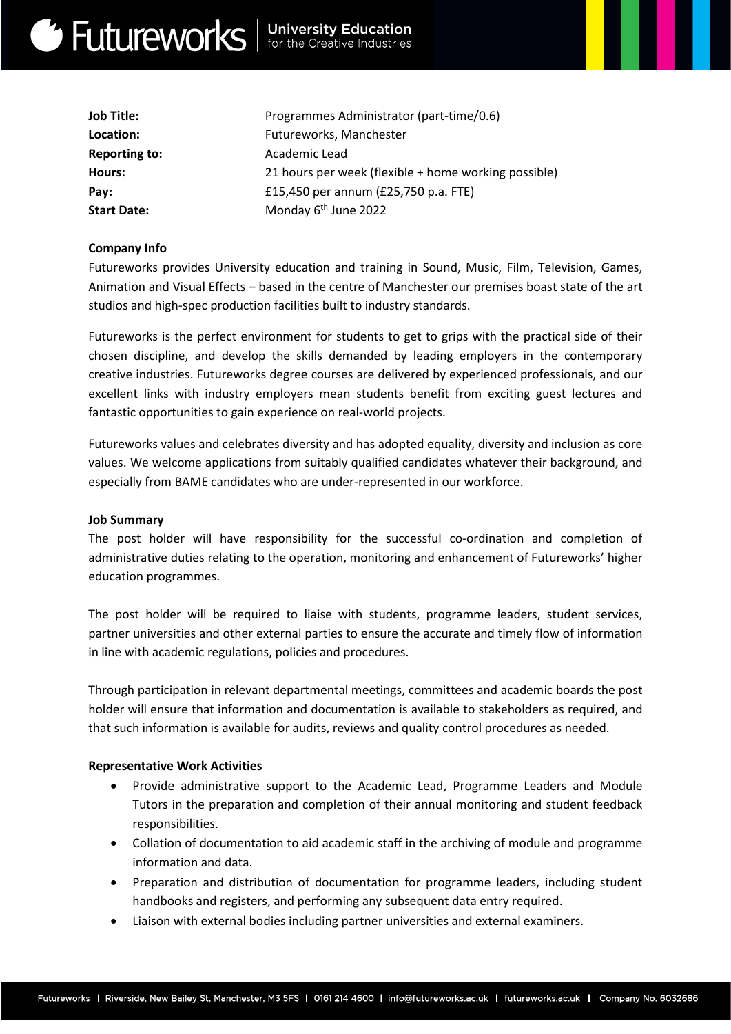# Get Futureworks | University Education

| Programmes Administrator (part-time/0.6)             |
|------------------------------------------------------|
| Futureworks, Manchester                              |
| Academic Lead                                        |
| 21 hours per week (flexible + home working possible) |
| £15,450 per annum (£25,750 p.a. FTE)                 |
| Monday 6 <sup>th</sup> June 2022                     |
|                                                      |

# Company Info

Futureworks provides University education and training in Sound, Music, Film, Television, Games, Animation and Visual Effects – based in the centre of Manchester our premises boast state of the art studios and high-spec production facilities built to industry standards.

Futureworks is the perfect environment for students to get to grips with the practical side of their chosen discipline, and develop the skills demanded by leading employers in the contemporary creative industries. Futureworks degree courses are delivered by experienced professionals, and our excellent links with industry employers mean students benefit from exciting guest lectures and fantastic opportunities to gain experience on real-world projects.

Futureworks values and celebrates diversity and has adopted equality, diversity and inclusion as core values. We welcome applications from suitably qualified candidates whatever their background, and especially from BAME candidates who are under-represented in our workforce.

### Job Summary

The post holder will have responsibility for the successful co-ordination and completion of administrative duties relating to the operation, monitoring and enhancement of Futureworks' higher education programmes.

The post holder will be required to liaise with students, programme leaders, student services, partner universities and other external parties to ensure the accurate and timely flow of information in line with academic regulations, policies and procedures.

Through participation in relevant departmental meetings, committees and academic boards the post holder will ensure that information and documentation is available to stakeholders as required, and that such information is available for audits, reviews and quality control procedures as needed.

### Representative Work Activities

- Provide administrative support to the Academic Lead, Programme Leaders and Module Tutors in the preparation and completion of their annual monitoring and student feedback responsibilities.
- Collation of documentation to aid academic staff in the archiving of module and programme information and data.
- Preparation and distribution of documentation for programme leaders, including student handbooks and registers, and performing any subsequent data entry required.
- Liaison with external bodies including partner universities and external examiners.